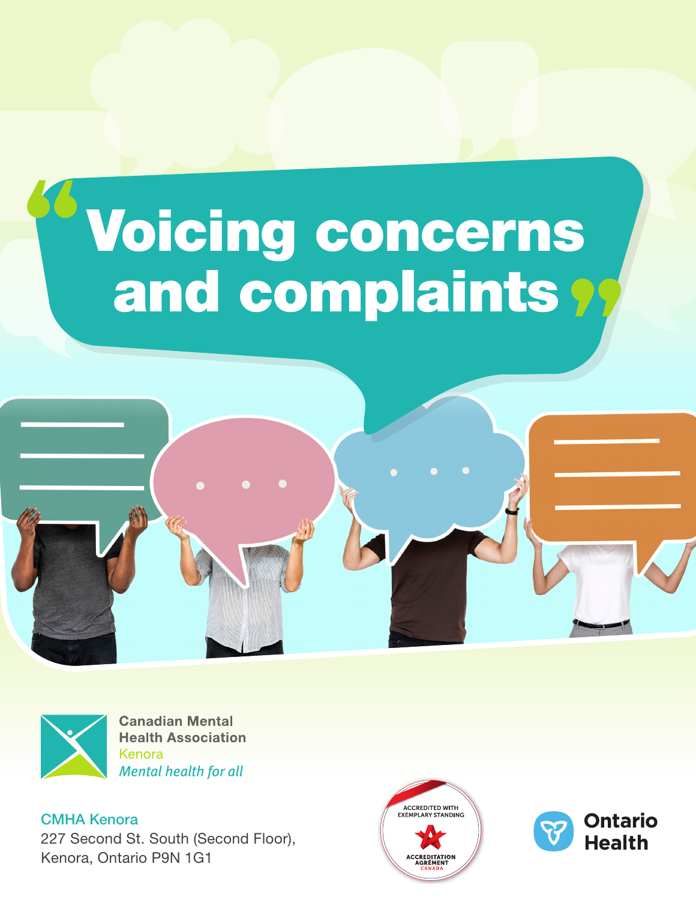## Voicing concerns and complaints?





**Canadian Mental Health Association** Kenora **Mental health for all** 

CMHA Kenora 227 Second St. South (Second Floor), Kenora, Ontario P9N 1G1